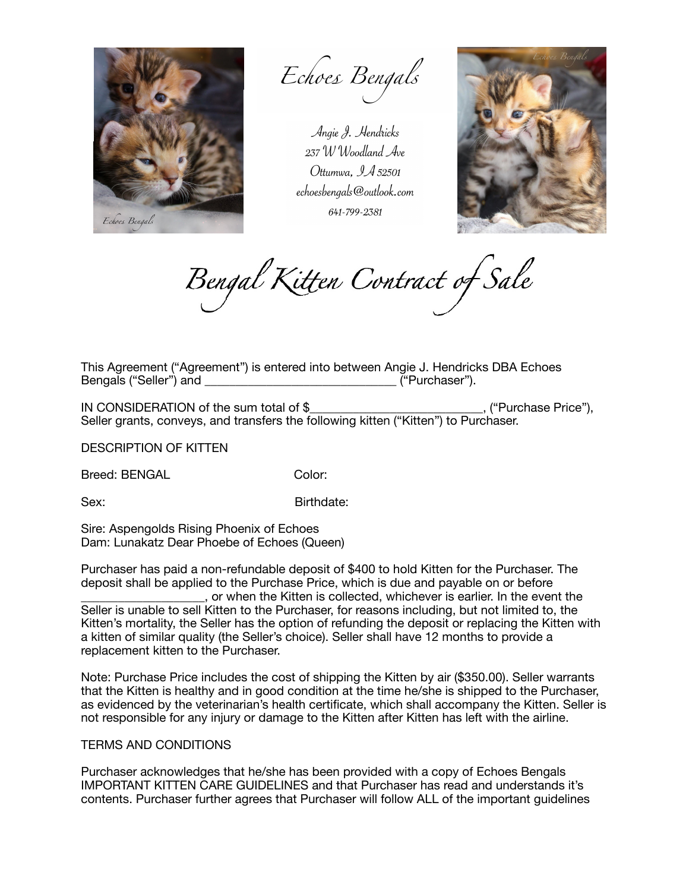

Echoes Bengals

Angie J. Hendricks 237 W Woodland Ave Ottumwa,  $9.452501$ echoesbengals@outlook.com 641-799-2381



Bengal Kitten Contract of Sale

This Agreement ("Agreement") is entered into between Angie J. Hendricks DBA Echoes Bengals ("Seller") and \_\_\_\_\_\_\_\_\_\_\_\_\_\_\_\_\_\_\_\_\_\_\_\_\_\_\_\_\_\_\_ ("Purchaser").

IN CONSIDERATION of the sum total of \$\_\_\_\_\_\_\_\_\_\_\_\_\_\_\_\_\_\_\_\_\_\_\_\_\_\_\_\_, ("Purchase Price"), Seller grants, conveys, and transfers the following kitten ("Kitten") to Purchaser.

DESCRIPTION OF KITTEN

Breed: BENGAL Color:

Sex: Birthdate:

Sire: Aspengolds Rising Phoenix of Echoes Dam: Lunakatz Dear Phoebe of Echoes (Queen)

Purchaser has paid a non-refundable deposit of \$400 to hold Kitten for the Purchaser. The deposit shall be applied to the Purchase Price, which is due and payable on or before \_\_\_\_\_\_\_\_\_\_\_\_\_\_\_\_\_\_\_\_, or when the Kitten is collected, whichever is earlier. In the event the Seller is unable to sell Kitten to the Purchaser, for reasons including, but not limited to, the Kitten's mortality, the Seller has the option of refunding the deposit or replacing the Kitten with a kitten of similar quality (the Seller's choice). Seller shall have 12 months to provide a replacement kitten to the Purchaser.

Note: Purchase Price includes the cost of shipping the Kitten by air (\$350.00). Seller warrants that the Kitten is healthy and in good condition at the time he/she is shipped to the Purchaser, as evidenced by the veterinarian's health certificate, which shall accompany the Kitten. Seller is not responsible for any injury or damage to the Kitten after Kitten has left with the airline.

## TERMS AND CONDITIONS

Purchaser acknowledges that he/she has been provided with a copy of Echoes Bengals IMPORTANT KITTEN CARE GUIDELINES and that Purchaser has read and understands it's contents. Purchaser further agrees that Purchaser will follow ALL of the important guidelines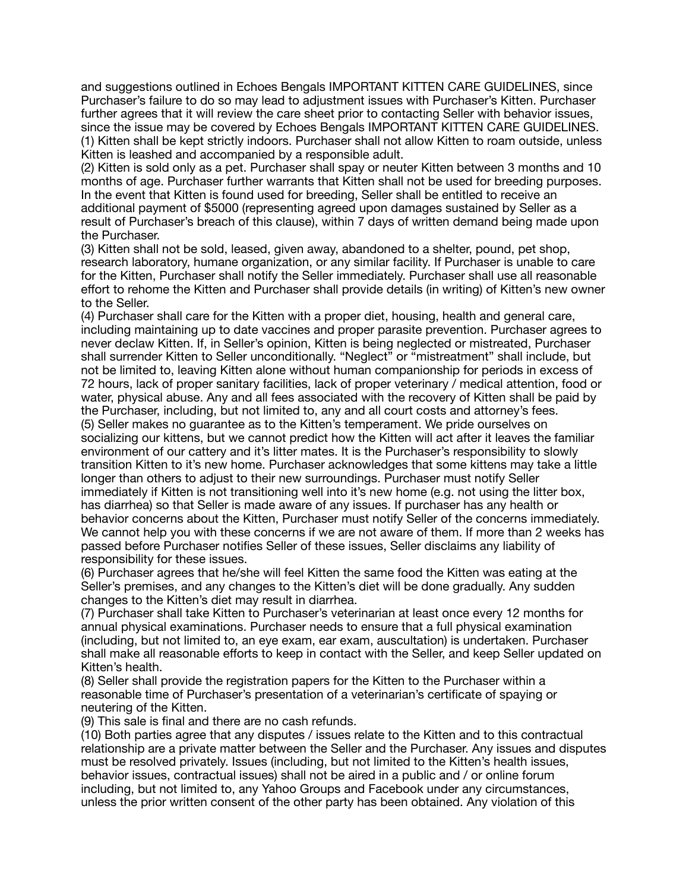and suggestions outlined in Echoes Bengals IMPORTANT KITTEN CARE GUIDELINES, since Purchaser's failure to do so may lead to adjustment issues with Purchaser's Kitten. Purchaser further agrees that it will review the care sheet prior to contacting Seller with behavior issues, since the issue may be covered by Echoes Bengals IMPORTANT KITTEN CARE GUIDELINES. (1) Kitten shall be kept strictly indoors. Purchaser shall not allow Kitten to roam outside, unless Kitten is leashed and accompanied by a responsible adult.

(2) Kitten is sold only as a pet. Purchaser shall spay or neuter Kitten between 3 months and 10 months of age. Purchaser further warrants that Kitten shall not be used for breeding purposes. In the event that Kitten is found used for breeding, Seller shall be entitled to receive an additional payment of \$5000 (representing agreed upon damages sustained by Seller as a result of Purchaser's breach of this clause), within 7 days of written demand being made upon the Purchaser.

(3) Kitten shall not be sold, leased, given away, abandoned to a shelter, pound, pet shop, research laboratory, humane organization, or any similar facility. If Purchaser is unable to care for the Kitten, Purchaser shall notify the Seller immediately. Purchaser shall use all reasonable effort to rehome the Kitten and Purchaser shall provide details (in writing) of Kitten's new owner to the Seller.

(4) Purchaser shall care for the Kitten with a proper diet, housing, health and general care, including maintaining up to date vaccines and proper parasite prevention. Purchaser agrees to never declaw Kitten. If, in Seller's opinion, Kitten is being neglected or mistreated, Purchaser shall surrender Kitten to Seller unconditionally. "Neglect" or "mistreatment" shall include, but not be limited to, leaving Kitten alone without human companionship for periods in excess of 72 hours, lack of proper sanitary facilities, lack of proper veterinary / medical attention, food or water, physical abuse. Any and all fees associated with the recovery of Kitten shall be paid by the Purchaser, including, but not limited to, any and all court costs and attorney's fees. (5) Seller makes no guarantee as to the Kitten's temperament. We pride ourselves on socializing our kittens, but we cannot predict how the Kitten will act after it leaves the familiar environment of our cattery and it's litter mates. It is the Purchaser's responsibility to slowly transition Kitten to it's new home. Purchaser acknowledges that some kittens may take a little longer than others to adjust to their new surroundings. Purchaser must notify Seller immediately if Kitten is not transitioning well into it's new home (e.g. not using the litter box, has diarrhea) so that Seller is made aware of any issues. If purchaser has any health or behavior concerns about the Kitten, Purchaser must notify Seller of the concerns immediately. We cannot help you with these concerns if we are not aware of them. If more than 2 weeks has passed before Purchaser notifies Seller of these issues, Seller disclaims any liability of responsibility for these issues.

(6) Purchaser agrees that he/she will feel Kitten the same food the Kitten was eating at the Seller's premises, and any changes to the Kitten's diet will be done gradually. Any sudden changes to the Kitten's diet may result in diarrhea.

(7) Purchaser shall take Kitten to Purchaser's veterinarian at least once every 12 months for annual physical examinations. Purchaser needs to ensure that a full physical examination (including, but not limited to, an eye exam, ear exam, auscultation) is undertaken. Purchaser shall make all reasonable efforts to keep in contact with the Seller, and keep Seller updated on Kitten's health.

(8) Seller shall provide the registration papers for the Kitten to the Purchaser within a reasonable time of Purchaser's presentation of a veterinarian's certificate of spaying or neutering of the Kitten.

(9) This sale is final and there are no cash refunds.

(10) Both parties agree that any disputes / issues relate to the Kitten and to this contractual relationship are a private matter between the Seller and the Purchaser. Any issues and disputes must be resolved privately. Issues (including, but not limited to the Kitten's health issues, behavior issues, contractual issues) shall not be aired in a public and / or online forum including, but not limited to, any Yahoo Groups and Facebook under any circumstances, unless the prior written consent of the other party has been obtained. Any violation of this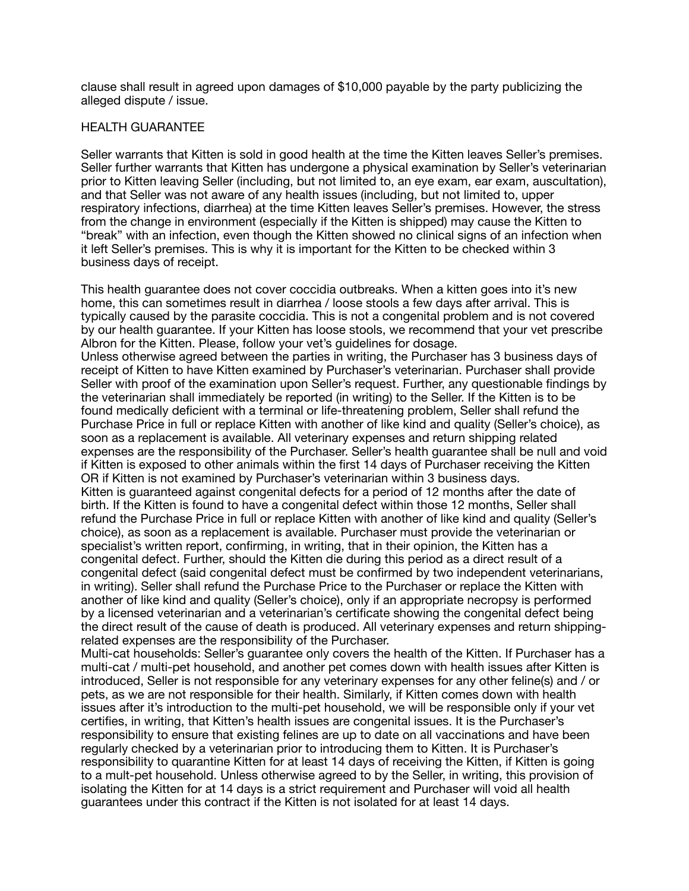clause shall result in agreed upon damages of \$10,000 payable by the party publicizing the alleged dispute / issue.

## HEALTH GUARANTEE

Seller warrants that Kitten is sold in good health at the time the Kitten leaves Seller's premises. Seller further warrants that Kitten has undergone a physical examination by Seller's veterinarian prior to Kitten leaving Seller (including, but not limited to, an eye exam, ear exam, auscultation), and that Seller was not aware of any health issues (including, but not limited to, upper respiratory infections, diarrhea) at the time Kitten leaves Seller's premises. However, the stress from the change in environment (especially if the Kitten is shipped) may cause the Kitten to "break" with an infection, even though the Kitten showed no clinical signs of an infection when it left Seller's premises. This is why it is important for the Kitten to be checked within 3 business days of receipt.

This health guarantee does not cover coccidia outbreaks. When a kitten goes into it's new home, this can sometimes result in diarrhea / loose stools a few days after arrival. This is typically caused by the parasite coccidia. This is not a congenital problem and is not covered by our health guarantee. If your Kitten has loose stools, we recommend that your vet prescribe Albron for the Kitten. Please, follow your vet's guidelines for dosage. Unless otherwise agreed between the parties in writing, the Purchaser has 3 business days of

receipt of Kitten to have Kitten examined by Purchaser's veterinarian. Purchaser shall provide Seller with proof of the examination upon Seller's request. Further, any questionable findings by the veterinarian shall immediately be reported (in writing) to the Seller. If the Kitten is to be found medically deficient with a terminal or life-threatening problem, Seller shall refund the Purchase Price in full or replace Kitten with another of like kind and quality (Seller's choice), as soon as a replacement is available. All veterinary expenses and return shipping related expenses are the responsibility of the Purchaser. Seller's health guarantee shall be null and void if Kitten is exposed to other animals within the first 14 days of Purchaser receiving the Kitten OR if Kitten is not examined by Purchaser's veterinarian within 3 business days. Kitten is guaranteed against congenital defects for a period of 12 months after the date of birth. If the Kitten is found to have a congenital defect within those 12 months, Seller shall refund the Purchase Price in full or replace Kitten with another of like kind and quality (Seller's choice), as soon as a replacement is available. Purchaser must provide the veterinarian or specialist's written report, confirming, in writing, that in their opinion, the Kitten has a congenital defect. Further, should the Kitten die during this period as a direct result of a congenital defect (said congenital defect must be confirmed by two independent veterinarians, in writing). Seller shall refund the Purchase Price to the Purchaser or replace the Kitten with another of like kind and quality (Seller's choice), only if an appropriate necropsy is performed by a licensed veterinarian and a veterinarian's certificate showing the congenital defect being the direct result of the cause of death is produced. All veterinary expenses and return shippingrelated expenses are the responsibility of the Purchaser.

Multi-cat households: Seller's guarantee only covers the health of the Kitten. If Purchaser has a multi-cat / multi-pet household, and another pet comes down with health issues after Kitten is introduced, Seller is not responsible for any veterinary expenses for any other feline(s) and / or pets, as we are not responsible for their health. Similarly, if Kitten comes down with health issues after it's introduction to the multi-pet household, we will be responsible only if your vet certifies, in writing, that Kitten's health issues are congenital issues. It is the Purchaser's responsibility to ensure that existing felines are up to date on all vaccinations and have been regularly checked by a veterinarian prior to introducing them to Kitten. It is Purchaser's responsibility to quarantine Kitten for at least 14 days of receiving the Kitten, if Kitten is going to a mult-pet household. Unless otherwise agreed to by the Seller, in writing, this provision of isolating the Kitten for at 14 days is a strict requirement and Purchaser will void all health guarantees under this contract if the Kitten is not isolated for at least 14 days.